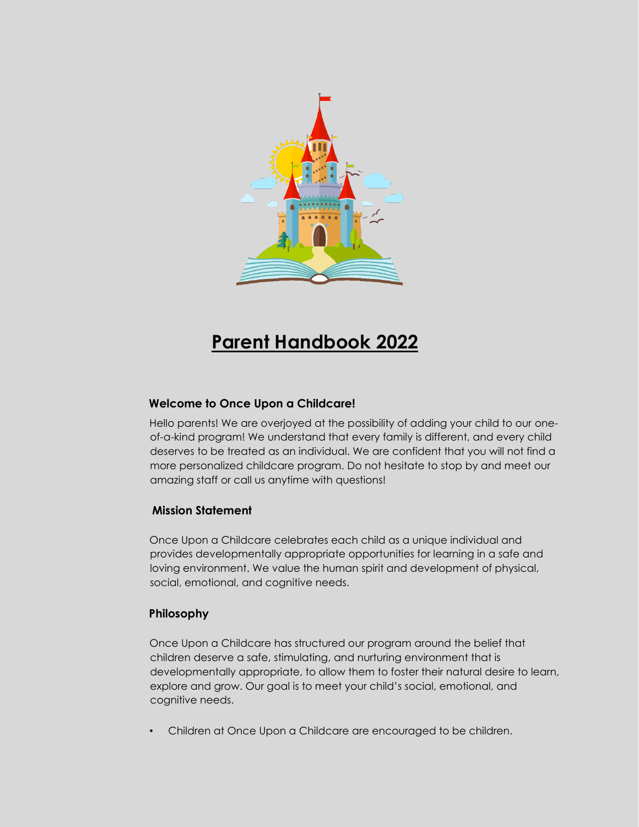

# **Parent Handbook 2022**

## **Welcome to Once Upon a Childcare!**

Hello parents! We are overjoyed at the possibility of adding your child to our oneof-a-kind program! We understand that every family is different, and every child deserves to be treated as an individual. We are confident that you will not find a more personalized childcare program. Do not hesitate to stop by and meet our amazing staff or call us anytime with questions!

## **Mission Statement**

Once Upon a Childcare celebrates each child as a unique individual and provides developmentally appropriate opportunities for learning in a safe and loving environment. We value the human spirit and development of physical, social, emotional, and cognitive needs.

## **Philosophy**

Once Upon a Childcare has structured our program around the belief that children deserve a safe, stimulating, and nurturing environment that is developmentally appropriate, to allow them to foster their natural desire to learn, explore and grow. Our goal is to meet your child's social, emotional, and cognitive needs.

• Children at Once Upon a Childcare are encouraged to be children.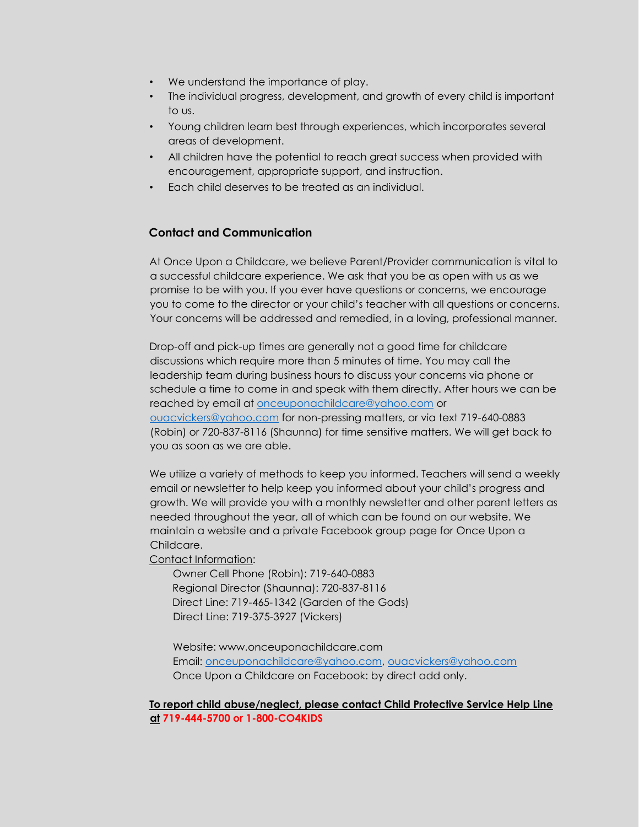- We understand the importance of play.
- The individual progress, development, and growth of every child is important to us.
- Young children learn best through experiences, which incorporates several areas of development.
- All children have the potential to reach great success when provided with encouragement, appropriate support, and instruction.
- Each child deserves to be treated as an individual.

## **Contact and Communication**

At Once Upon a Childcare, we believe Parent/Provider communication is vital to a successful childcare experience. We ask that you be as open with us as we promise to be with you. If you ever have questions or concerns, we encourage you to come to the director or your child's teacher with all questions or concerns. Your concerns will be addressed and remedied, in a loving, professional manner.

Drop-off and pick-up times are generally not a good time for childcare discussions which require more than 5 minutes of time. You may call the leadership team during business hours to discuss your concerns via phone or schedule a time to come in and speak with them directly. After hours we can be reached by email at [onceuponachildcare@yahoo.com](mailto:onceuponachildcare@yahoo.com) or [ouacvickers@yahoo.com](mailto:ouacvickers@yahoo.com) for non-pressing matters, or via text 719-640-0883 (Robin) or 720-837-8116 (Shaunna) for time sensitive matters. We will get back to you as soon as we are able.

We utilize a variety of methods to keep you informed. Teachers will send a weekly email or newsletter to help keep you informed about your child's progress and growth. We will provide you with a monthly newsletter and other parent letters as needed throughout the year, all of which can be found on our website. We maintain a website and a private Facebook group page for Once Upon a Childcare.

Contact Information:

 Owner Cell Phone (Robin): 719-640-0883 Regional Director (Shaunna): 720-837-8116 Direct Line: 719-465-1342 (Garden of the Gods) Direct Line: 719-375-3927 (Vickers)

 Website: www.onceuponachildcare.com Email: [onceuponachildcare@yahoo.com,](mailto:onceuponachildcare@yahoo.com) [ouacvickers@yahoo.com](mailto:ouacvickers@yahoo.com) Once Upon a Childcare on Facebook: by direct add only.

#### **To report child abuse/neglect, please contact Child Protective Service Help Line at 719-444-5700 or 1-800-CO4KIDS**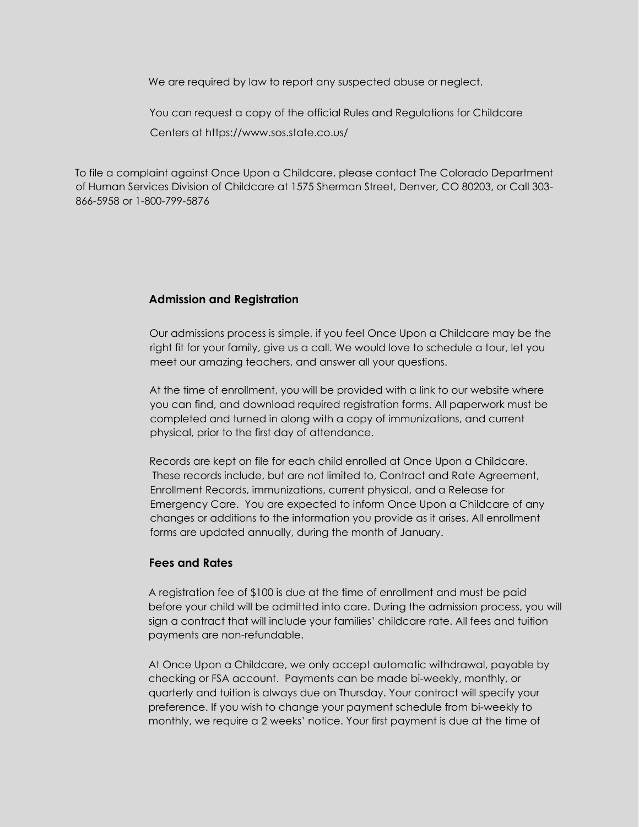We are required by law to report any suspected abuse or neglect.

You can request a copy of the official Rules and Regulations for Childcare Centers at https://www.sos.state.co.us/

To file a complaint against Once Upon a Childcare, please contact The Colorado Department of Human Services Division of Childcare at 1575 Sherman Street, Denver, CO 80203, or Call 303- 866-5958 or 1-800-799-5876

## **Admission and Registration**

Our admissions process is simple, if you feel Once Upon a Childcare may be the right fit for your family, give us a call. We would love to schedule a tour, let you meet our amazing teachers, and answer all your questions.

At the time of enrollment, you will be provided with a link to our website where you can find, and download required registration forms. All paperwork must be completed and turned in along with a copy of immunizations, and current physical, prior to the first day of attendance.

Records are kept on file for each child enrolled at Once Upon a Childcare. These records include, but are not limited to, Contract and Rate Agreement, Enrollment Records, immunizations, current physical, and a Release for Emergency Care. You are expected to inform Once Upon a Childcare of any changes or additions to the information you provide as it arises. All enrollment forms are updated annually, during the month of January.

## **Fees and Rates**

A registration fee of \$100 is due at the time of enrollment and must be paid before your child will be admitted into care. During the admission process, you will sign a contract that will include your families' childcare rate. All fees and tuition payments are non-refundable.

At Once Upon a Childcare, we only accept automatic withdrawal, payable by checking or FSA account. Payments can be made bi-weekly, monthly, or quarterly and tuition is always due on Thursday. Your contract will specify your preference. If you wish to change your payment schedule from bi-weekly to monthly, we require a 2 weeks' notice. Your first payment is due at the time of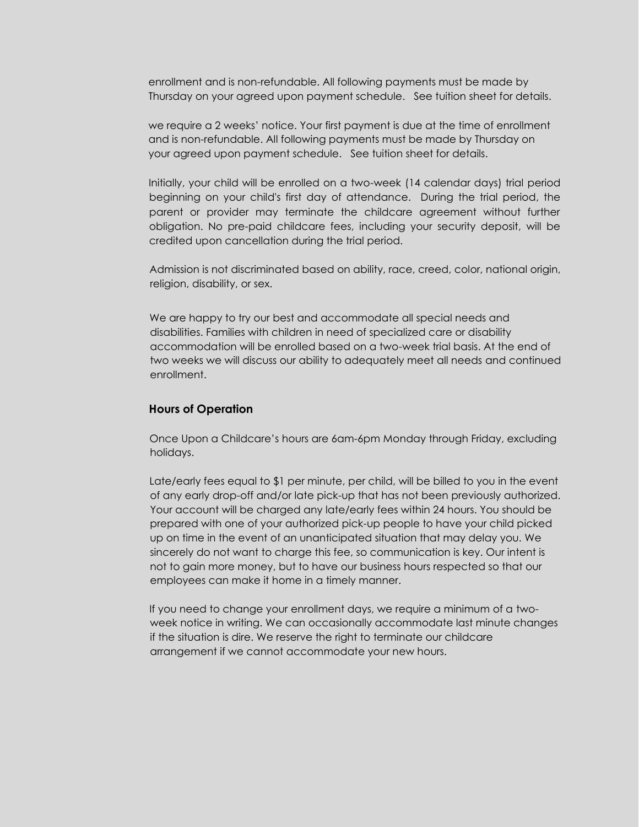enrollment and is non-refundable. All following payments must be made by Thursday on your agreed upon payment schedule. See tuition sheet for details.

we require a 2 weeks' notice. Your first payment is due at the time of enrollment and is non-refundable. All following payments must be made by Thursday on your agreed upon payment schedule. See tuition sheet for details.

Initially, your child will be enrolled on a two-week (14 calendar days) trial period beginning on your child's first day of attendance. During the trial period, the parent or provider may terminate the childcare agreement without further obligation. No pre-paid childcare fees, including your security deposit, will be credited upon cancellation during the trial period.

Admission is not discriminated based on ability, race, creed, color, national origin, religion, disability, or sex.

We are happy to try our best and accommodate all special needs and disabilities. Families with children in need of specialized care or disability accommodation will be enrolled based on a two-week trial basis. At the end of two weeks we will discuss our ability to adequately meet all needs and continued enrollment.

#### **Hours of Operation**

Once Upon a Childcare's hours are 6am-6pm Monday through Friday, excluding holidays.

Late/early fees equal to \$1 per minute, per child, will be billed to you in the event of any early drop-off and/or late pick-up that has not been previously authorized. Your account will be charged any late/early fees within 24 hours. You should be prepared with one of your authorized pick-up people to have your child picked up on time in the event of an unanticipated situation that may delay you. We sincerely do not want to charge this fee, so communication is key. Our intent is not to gain more money, but to have our business hours respected so that our employees can make it home in a timely manner.

If you need to change your enrollment days, we require a minimum of a twoweek notice in writing. We can occasionally accommodate last minute changes if the situation is dire. We reserve the right to terminate our childcare arrangement if we cannot accommodate your new hours.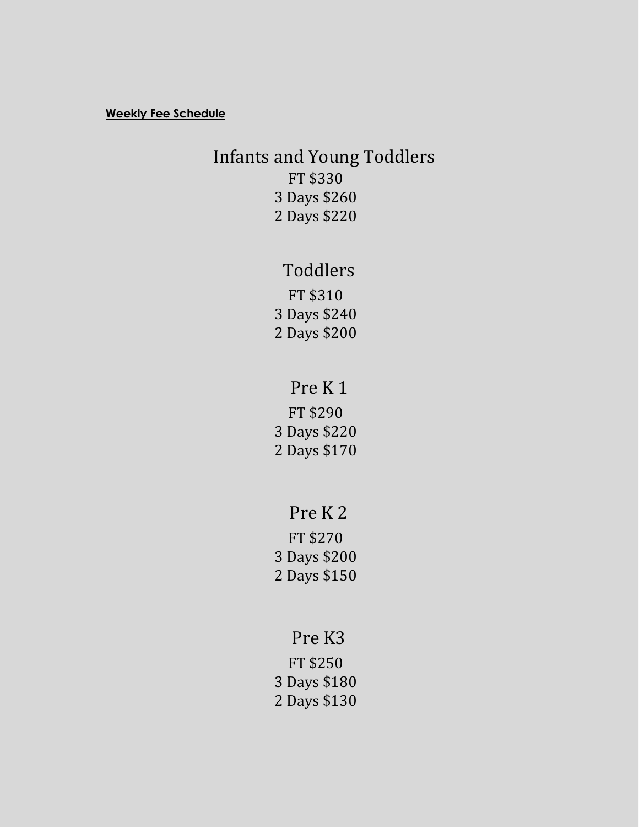#### **Weekly Fee Schedule**

## Infants and Young Toddlers FT \$330 3 Days \$260

2 Days \$220

## Toddlers

FT \$310 3 Days \$240 2 Days \$200

## Pre K 1

FT \$290 3 Days \$220 2 Days \$170

## Pre K 2

FT \$270 3 Days \$200 2 Days \$150

## Pre K3

FT \$250 3 Days \$180 2 Days \$130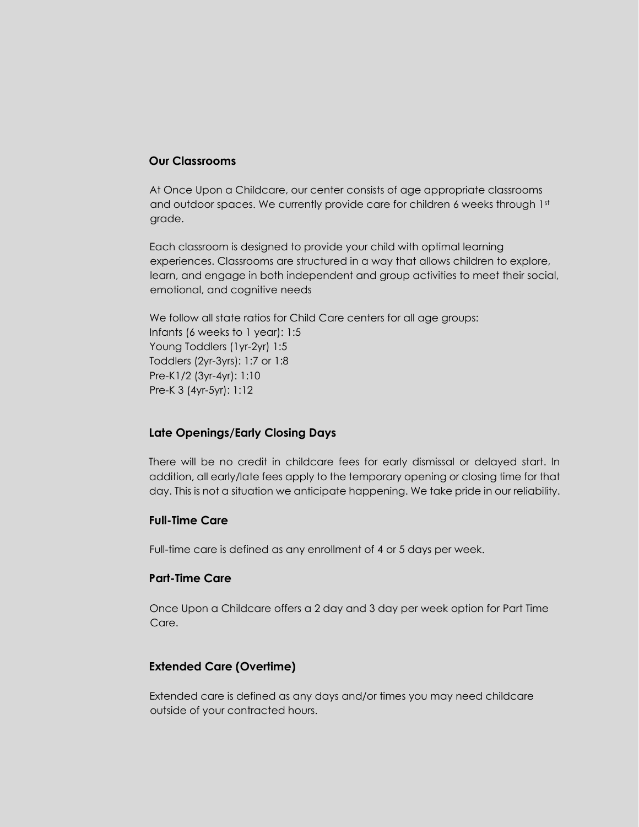## **Our Classrooms**

At Once Upon a Childcare, our center consists of age appropriate classrooms and outdoor spaces. We currently provide care for children 6 weeks through 1st grade.

Each classroom is designed to provide your child with optimal learning experiences. Classrooms are structured in a way that allows children to explore, learn, and engage in both independent and group activities to meet their social, emotional, and cognitive needs

We follow all state ratios for Child Care centers for all age groups: Infants (6 weeks to 1 year): 1:5 Young Toddlers (1yr-2yr) 1:5 Toddlers (2yr-3yrs): 1:7 or 1:8 Pre-K1/2 (3yr-4yr): 1:10 Pre-K 3 (4yr-5yr): 1:12

## **Late Openings/Early Closing Days**

There will be no credit in childcare fees for early dismissal or delayed start. In addition, all early/late fees apply to the temporary opening or closing time for that day. This is not a situation we anticipate happening. We take pride in our reliability.

## **Full-Time Care**

Full-time care is defined as any enrollment of 4 or 5 days per week.

## **Part-Time Care**

Once Upon a Childcare offers a 2 day and 3 day per week option for Part Time Care.

## **Extended Care (Overtime)**

Extended care is defined as any days and/or times you may need childcare outside of your contracted hours.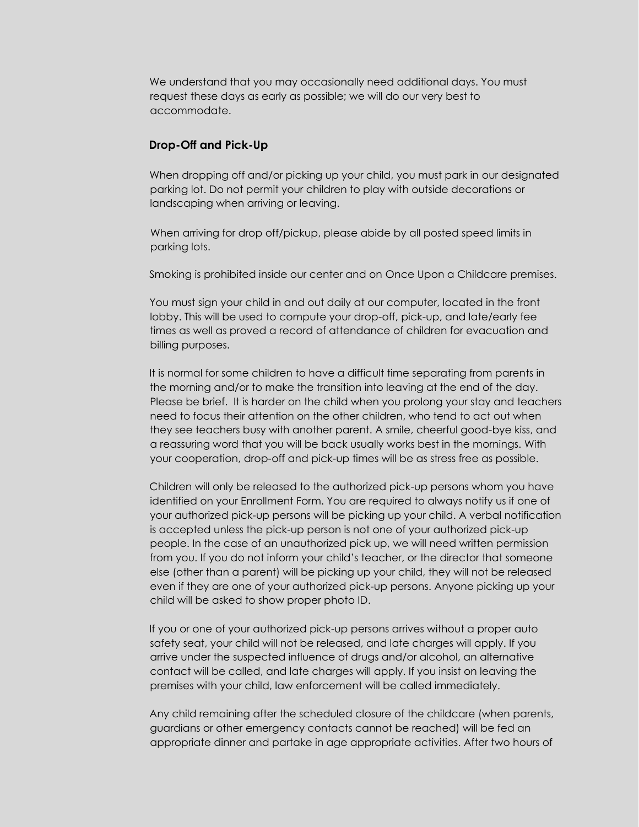We understand that you may occasionally need additional days. You must request these days as early as possible; we will do our very best to accommodate.

#### **Drop-Off and Pick-Up**

When dropping off and/or picking up your child, you must park in our designated parking lot. Do not permit your children to play with outside decorations or landscaping when arriving or leaving.

When arriving for drop off/pickup, please abide by all posted speed limits in parking lots.

Smoking is prohibited inside our center and on Once Upon a Childcare premises.

You must sign your child in and out daily at our computer, located in the front lobby. This will be used to compute your drop-off, pick-up, and late/early fee times as well as proved a record of attendance of children for evacuation and billing purposes.

It is normal for some children to have a difficult time separating from parents in the morning and/or to make the transition into leaving at the end of the day. Please be brief. It is harder on the child when you prolong your stay and teachers need to focus their attention on the other children, who tend to act out when they see teachers busy with another parent. A smile, cheerful good-bye kiss, and a reassuring word that you will be back usually works best in the mornings. With your cooperation, drop-off and pick-up times will be as stress free as possible.

Children will only be released to the authorized pick-up persons whom you have identified on your Enrollment Form. You are required to always notify us if one of your authorized pick-up persons will be picking up your child. A verbal notification is accepted unless the pick-up person is not one of your authorized pick-up people. In the case of an unauthorized pick up, we will need written permission from you. If you do not inform your child's teacher, or the director that someone else (other than a parent) will be picking up your child, they will not be released even if they are one of your authorized pick-up persons. Anyone picking up your child will be asked to show proper photo ID.

If you or one of your authorized pick-up persons arrives without a proper auto safety seat, your child will not be released, and late charges will apply. If you arrive under the suspected influence of drugs and/or alcohol, an alternative contact will be called, and late charges will apply. If you insist on leaving the premises with your child, law enforcement will be called immediately.

Any child remaining after the scheduled closure of the childcare (when parents, guardians or other emergency contacts cannot be reached) will be fed an appropriate dinner and partake in age appropriate activities. After two hours of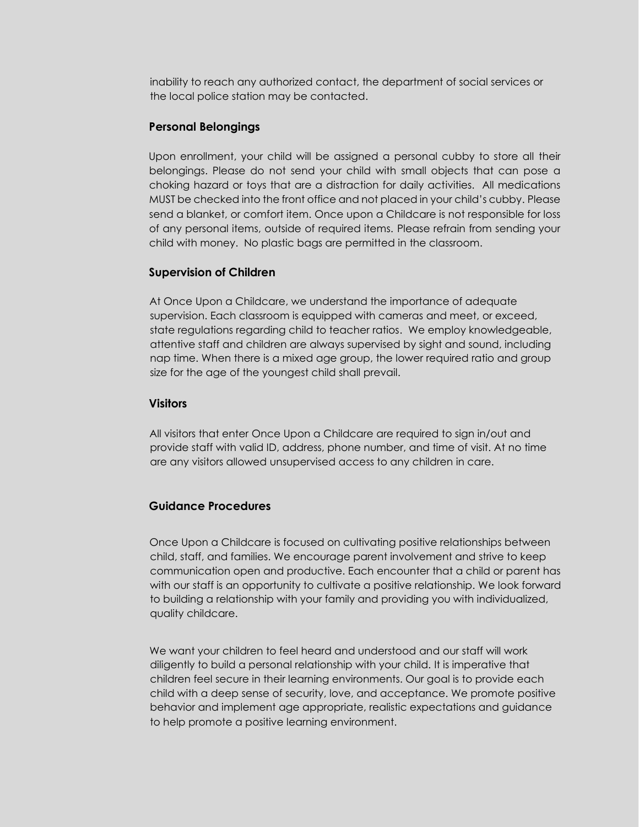inability to reach any authorized contact, the department of social services or the local police station may be contacted.

## **Personal Belongings**

Upon enrollment, your child will be assigned a personal cubby to store all their belongings. Please do not send your child with small objects that can pose a choking hazard or toys that are a distraction for daily activities. All medications MUST be checked into the front office and not placed in your child's cubby. Please send a blanket, or comfort item. Once upon a Childcare is not responsible for loss of any personal items, outside of required items. Please refrain from sending your child with money. No plastic bags are permitted in the classroom.

## **Supervision of Children**

At Once Upon a Childcare, we understand the importance of adequate supervision. Each classroom is equipped with cameras and meet, or exceed, state regulations regarding child to teacher ratios. We employ knowledgeable, attentive staff and children are always supervised by sight and sound, including nap time. When there is a mixed age group, the lower required ratio and group size for the age of the youngest child shall prevail.

## **Visitors**

All visitors that enter Once Upon a Childcare are required to sign in/out and provide staff with valid ID, address, phone number, and time of visit. At no time are any visitors allowed unsupervised access to any children in care.

## **Guidance Procedures**

Once Upon a Childcare is focused on cultivating positive relationships between child, staff, and families. We encourage parent involvement and strive to keep communication open and productive. Each encounter that a child or parent has with our staff is an opportunity to cultivate a positive relationship. We look forward to building a relationship with your family and providing you with individualized, quality childcare.

We want your children to feel heard and understood and our staff will work diligently to build a personal relationship with your child. It is imperative that children feel secure in their learning environments. Our goal is to provide each child with a deep sense of security, love, and acceptance. We promote positive behavior and implement age appropriate, realistic expectations and guidance to help promote a positive learning environment.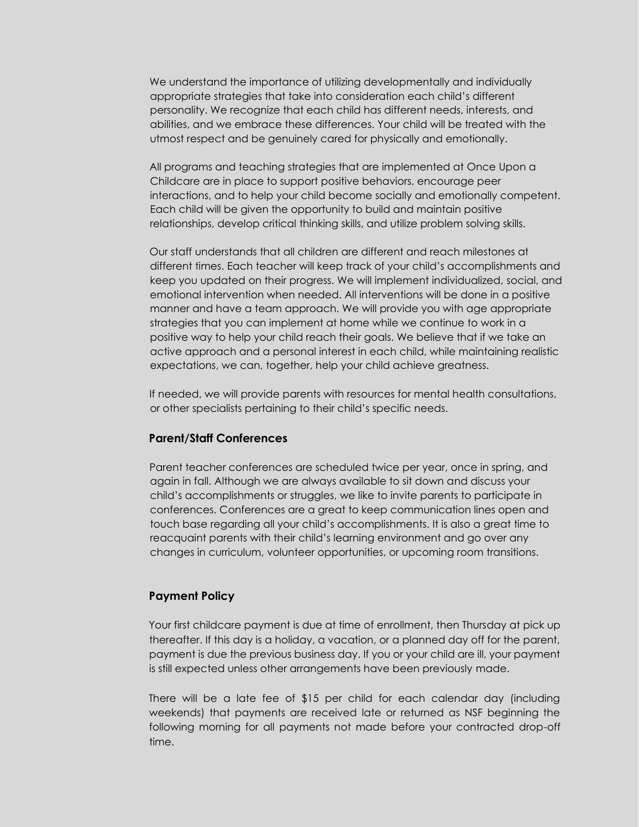We understand the importance of utilizing developmentally and individually appropriate strategies that take into consideration each child's different personality. We recognize that each child has different needs, interests, and abilities, and we embrace these differences. Your child will be treated with the utmost respect and be genuinely cared for physically and emotionally.

All programs and teaching strategies that are implemented at Once Upon a Childcare are in place to support positive behaviors, encourage peer interactions, and to help your child become socially and emotionally competent. Each child will be given the opportunity to build and maintain positive relationships, develop critical thinking skills, and utilize problem solving skills.

Our staff understands that all children are different and reach milestones at different times. Each teacher will keep track of your child's accomplishments and keep you updated on their progress. We will implement individualized, social, and emotional intervention when needed. All interventions will be done in a positive manner and have a team approach. We will provide you with age appropriate strategies that you can implement at home while we continue to work in a positive way to help your child reach their goals. We believe that if we take an active approach and a personal interest in each child, while maintaining realistic expectations, we can, together, help your child achieve greatness.

If needed, we will provide parents with resources for mental health consultations, or other specialists pertaining to their child's specific needs.

#### **Parent/Staff Conferences**

Parent teacher conferences are scheduled twice per year, once in spring, and again in fall. Although we are always available to sit down and discuss your child's accomplishments or struggles, we like to invite parents to participate in conferences. Conferences are a great to keep communication lines open and touch base regarding all your child's accomplishments. It is also a great time to reacquaint parents with their child's learning environment and go over any changes in curriculum, volunteer opportunities, or upcoming room transitions.

#### **Payment Policy**

Your first childcare payment is due at time of enrollment, then Thursday at pick up thereafter. If this day is a holiday, a vacation, or a planned day off for the parent, payment is due the previous business day. If you or your child are ill, your payment is still expected unless other arrangements have been previously made.

There will be a late fee of \$15 per child for each calendar day (including weekends) that payments are received late or returned as NSF beginning the following morning for all payments not made before your contracted drop-off time.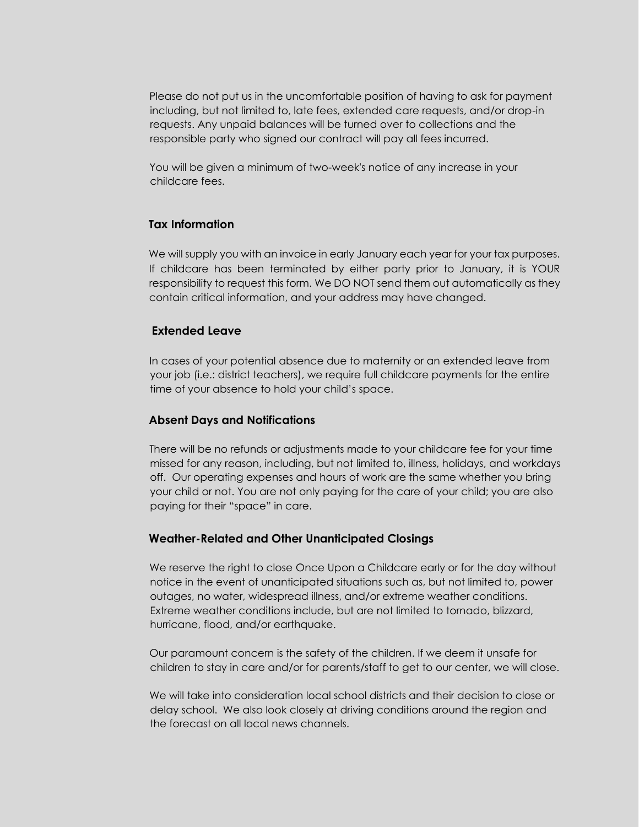Please do not put us in the uncomfortable position of having to ask for payment including, but not limited to, late fees, extended care requests, and/or drop-in requests. Any unpaid balances will be turned over to collections and the responsible party who signed our contract will pay all fees incurred.

You will be given a minimum of two-week's notice of any increase in your childcare fees.

## **Tax Information**

We will supply you with an invoice in early January each year for your tax purposes. If childcare has been terminated by either party prior to January, it is YOUR responsibility to request this form. We DO NOT send them out automatically as they contain critical information, and your address may have changed.

#### **Extended Leave**

In cases of your potential absence due to maternity or an extended leave from your job (i.e.: district teachers), we require full childcare payments for the entire time of your absence to hold your child's space.

#### **Absent Days and Notifications**

There will be no refunds or adjustments made to your childcare fee for your time missed for any reason, including, but not limited to, illness, holidays, and workdays off. Our operating expenses and hours of work are the same whether you bring your child or not. You are not only paying for the care of your child; you are also paying for their "space" in care.

#### **Weather-Related and Other Unanticipated Closings**

We reserve the right to close Once Upon a Childcare early or for the day without notice in the event of unanticipated situations such as, but not limited to, power outages, no water, widespread illness, and/or extreme weather conditions. Extreme weather conditions include, but are not limited to tornado, blizzard, hurricane, flood, and/or earthquake.

Our paramount concern is the safety of the children. If we deem it unsafe for children to stay in care and/or for parents/staff to get to our center, we will close.

We will take into consideration local school districts and their decision to close or delay school. We also look closely at driving conditions around the region and the forecast on all local news channels.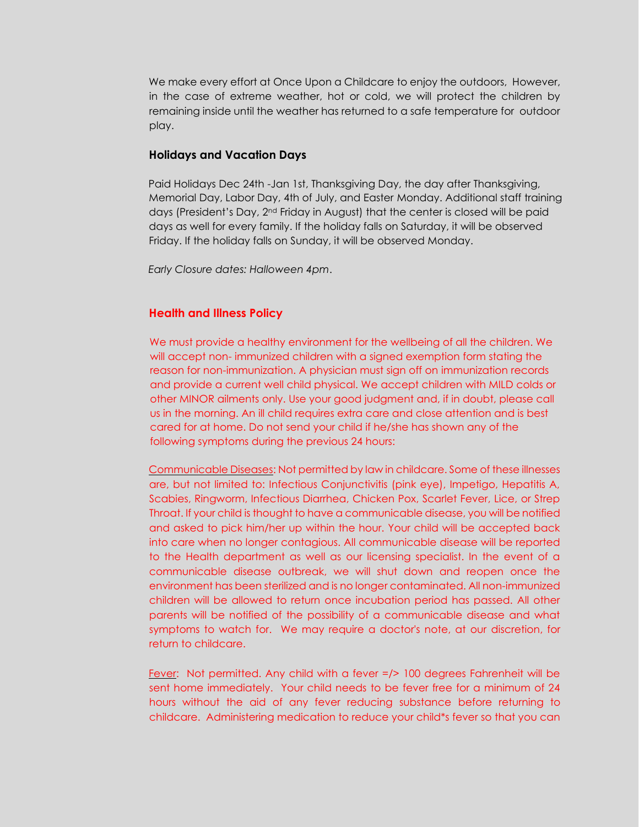We make every effort at Once Upon a Childcare to enjoy the outdoors, However, in the case of extreme weather, hot or cold, we will protect the children by remaining inside until the weather has returned to a safe temperature for outdoor play.

#### **Holidays and Vacation Days**

Paid Holidays Dec 24th -Jan 1st, Thanksgiving Day, the day after Thanksgiving, Memorial Day, Labor Day, 4th of July, and Easter Monday. Additional staff training days (President's Day, 2nd Friday in August) that the center is closed will be paid days as well for every family. If the holiday falls on Saturday, it will be observed Friday. If the holiday falls on Sunday, it will be observed Monday.

*Early Closure dates: Halloween 4pm*.

#### **Health and Illness Policy**

We must provide a healthy environment for the wellbeing of all the children. We will accept non- immunized children with a signed exemption form stating the reason for non-immunization. A physician must sign off on immunization records and provide a current well child physical. We accept children with MILD colds or other MINOR ailments only. Use your good judgment and, if in doubt, please call us in the morning. An ill child requires extra care and close attention and is best cared for at home. Do not send your child if he/she has shown any of the following symptoms during the previous 24 hours:

Communicable Diseases: Not permitted by law in childcare. Some of these illnesses are, but not limited to: Infectious Conjunctivitis (pink eye), Impetigo, Hepatitis A, Scabies, Ringworm, Infectious Diarrhea, Chicken Pox, Scarlet Fever, Lice, or Strep Throat. If your child is thought to have a communicable disease, you will be notified and asked to pick him/her up within the hour. Your child will be accepted back into care when no longer contagious. All communicable disease will be reported to the Health department as well as our licensing specialist. In the event of a communicable disease outbreak, we will shut down and reopen once the environment has been sterilized and is no longer contaminated. All non-immunized children will be allowed to return once incubation period has passed. All other parents will be notified of the possibility of a communicable disease and what symptoms to watch for. We may require a doctor's note, at our discretion, for return to childcare.

Fever: Not permitted. Any child with a fever =/> 100 degrees Fahrenheit will be sent home immediately. Your child needs to be fever free for a minimum of 24 hours without the aid of any fever reducing substance before returning to childcare. Administering medication to reduce your child\*s fever so that you can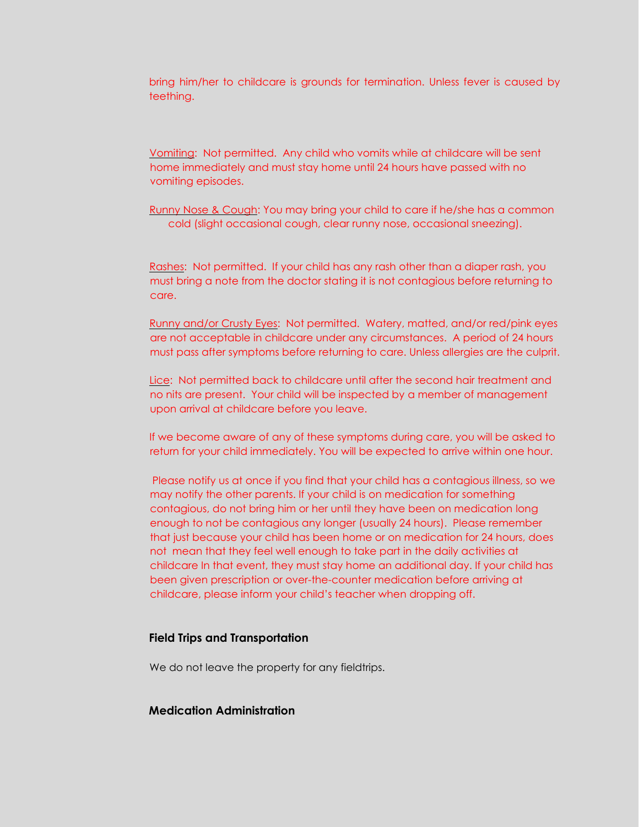bring him/her to childcare is grounds for termination. Unless fever is caused by teething.

Vomiting: Not permitted. Any child who vomits while at childcare will be sent home immediately and must stay home until 24 hours have passed with no vomiting episodes.

Runny Nose & Cough: You may bring your child to care if he/she has a common cold (slight occasional cough, clear runny nose, occasional sneezing).

Rashes: Not permitted. If your child has any rash other than a diaper rash, you must bring a note from the doctor stating it is not contagious before returning to care.

Runny and/or Crusty Eyes: Not permitted. Watery, matted, and/or red/pink eyes are not acceptable in childcare under any circumstances. A period of 24 hours must pass after symptoms before returning to care. Unless allergies are the culprit.

Lice: Not permitted back to childcare until after the second hair treatment and no nits are present. Your child will be inspected by a member of management upon arrival at childcare before you leave.

If we become aware of any of these symptoms during care, you will be asked to return for your child immediately. You will be expected to arrive within one hour.

Please notify us at once if you find that your child has a contagious illness, so we may notify the other parents. If your child is on medication for something contagious, do not bring him or her until they have been on medication long enough to not be contagious any longer (usually 24 hours). Please remember that just because your child has been home or on medication for 24 hours, does not mean that they feel well enough to take part in the daily activities at childcare In that event, they must stay home an additional day. If your child has been given prescription or over-the-counter medication before arriving at childcare, please inform your child's teacher when dropping off.

#### **Field Trips and Transportation**

We do not leave the property for any fieldtrips.

## **Medication Administration**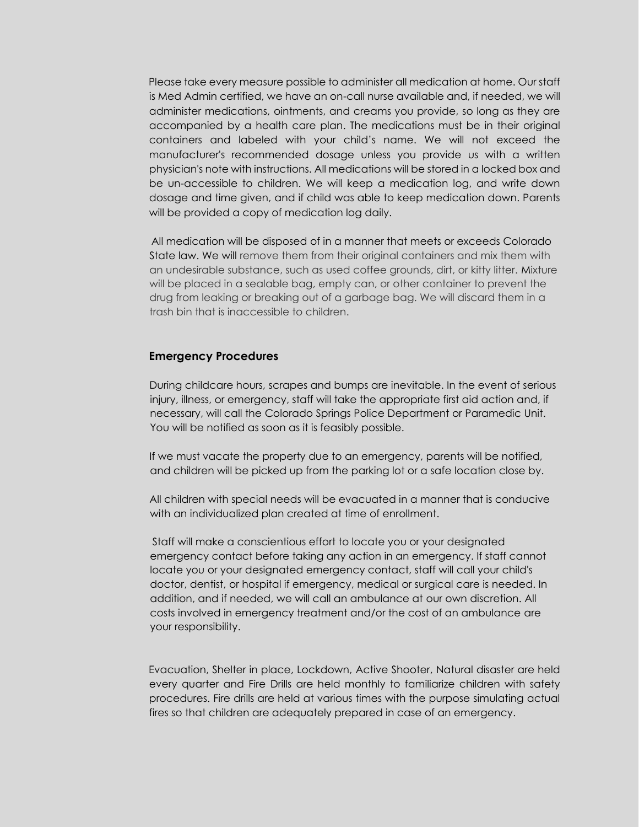Please take every measure possible to administer all medication at home. Our staff is Med Admin certified, we have an on-call nurse available and, if needed, we will administer medications, ointments, and creams you provide, so long as they are accompanied by a health care plan. The medications must be in their original containers and labeled with your child's name. We will not exceed the manufacturer's recommended dosage unless you provide us with a written physician's note with instructions. All medications will be stored in a locked box and be un-accessible to children. We will keep a medication log, and write down dosage and time given, and if child was able to keep medication down. Parents will be provided a copy of medication log daily.

All medication will be disposed of in a manner that meets or exceeds Colorado State law. We will remove them from their original containers and mix them with an undesirable substance, such as used coffee grounds, dirt, or kitty litter. Mixture will be placed in a sealable bag, empty can, or other container to prevent the drug from leaking or breaking out of a garbage bag. We will discard them in a trash bin that is inaccessible to children.

#### **Emergency Procedures**

During childcare hours, scrapes and bumps are inevitable. In the event of serious injury, illness, or emergency, staff will take the appropriate first aid action and, if necessary, will call the Colorado Springs Police Department or Paramedic Unit. You will be notified as soon as it is feasibly possible.

If we must vacate the property due to an emergency, parents will be notified, and children will be picked up from the parking lot or a safe location close by.

All children with special needs will be evacuated in a manner that is conducive with an individualized plan created at time of enrollment.

Staff will make a conscientious effort to locate you or your designated emergency contact before taking any action in an emergency. If staff cannot locate you or your designated emergency contact, staff will call your child's doctor, dentist, or hospital if emergency, medical or surgical care is needed. In addition, and if needed, we will call an ambulance at our own discretion. All costs involved in emergency treatment and/or the cost of an ambulance are your responsibility.

Evacuation, Shelter in place, Lockdown, Active Shooter, Natural disaster are held every quarter and Fire Drills are held monthly to familiarize children with safety procedures. Fire drills are held at various times with the purpose simulating actual fires so that children are adequately prepared in case of an emergency.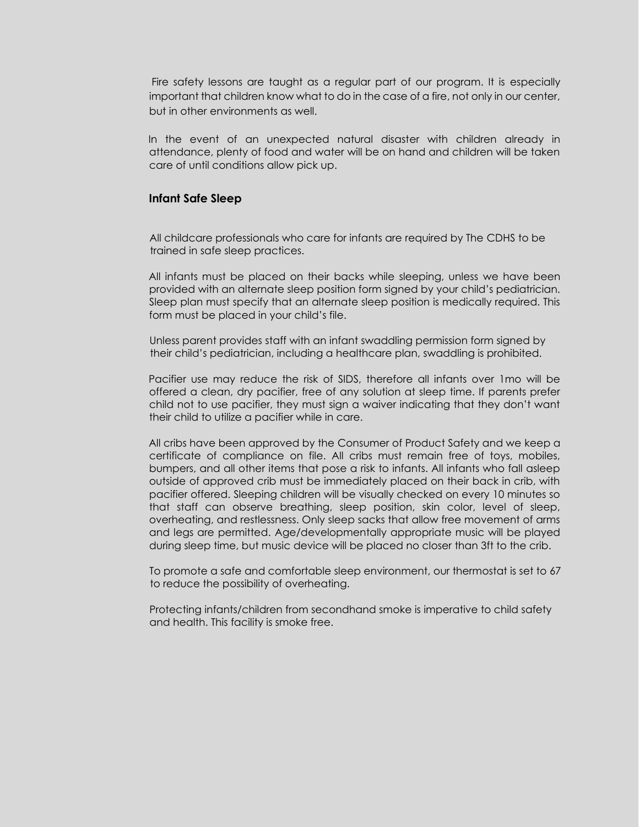Fire safety lessons are taught as a regular part of our program. It is especially important that children know what to do in the case of a fire, not only in our center, but in other environments as well.

In the event of an unexpected natural disaster with children already in attendance, plenty of food and water will be on hand and children will be taken care of until conditions allow pick up.

#### **Infant Safe Sleep**

All childcare professionals who care for infants are required by The CDHS to be trained in safe sleep practices.

All infants must be placed on their backs while sleeping, unless we have been provided with an alternate sleep position form signed by your child's pediatrician. Sleep plan must specify that an alternate sleep position is medically required. This form must be placed in your child's file.

Unless parent provides staff with an infant swaddling permission form signed by their child's pediatrician, including a healthcare plan, swaddling is prohibited.

Pacifier use may reduce the risk of SIDS, therefore all infants over 1mo will be offered a clean, dry pacifier, free of any solution at sleep time. If parents prefer child not to use pacifier, they must sign a waiver indicating that they don't want their child to utilize a pacifier while in care.

All cribs have been approved by the Consumer of Product Safety and we keep a certificate of compliance on file. All cribs must remain free of toys, mobiles, bumpers, and all other items that pose a risk to infants. All infants who fall asleep outside of approved crib must be immediately placed on their back in crib, with pacifier offered. Sleeping children will be visually checked on every 10 minutes so that staff can observe breathing, sleep position, skin color, level of sleep, overheating, and restlessness. Only sleep sacks that allow free movement of arms and legs are permitted. Age/developmentally appropriate music will be played during sleep time, but music device will be placed no closer than 3ft to the crib.

To promote a safe and comfortable sleep environment, our thermostat is set to 67 to reduce the possibility of overheating.

Protecting infants/children from secondhand smoke is imperative to child safety and health. This facility is smoke free.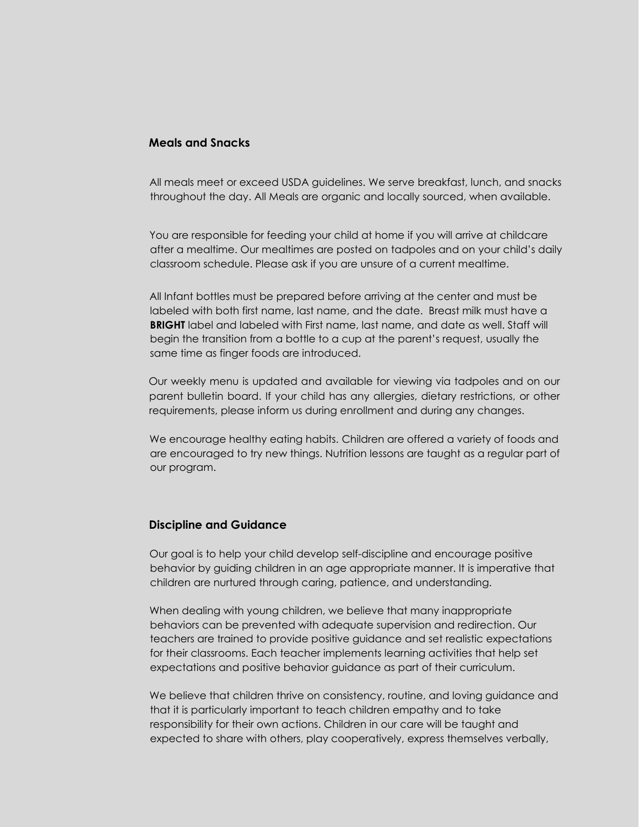## **Meals and Snacks**

All meals meet or exceed USDA guidelines. We serve breakfast, lunch, and snacks throughout the day. All Meals are organic and locally sourced, when available.

You are responsible for feeding your child at home if you will arrive at childcare after a mealtime. Our mealtimes are posted on tadpoles and on your child's daily classroom schedule. Please ask if you are unsure of a current mealtime.

All Infant bottles must be prepared before arriving at the center and must be labeled with both first name, last name, and the date. Breast milk must have a **BRIGHT** label and labeled with First name, last name, and date as well. Staff will begin the transition from a bottle to a cup at the parent's request, usually the same time as finger foods are introduced.

Our weekly menu is updated and available for viewing via tadpoles and on our parent bulletin board. If your child has any allergies, dietary restrictions, or other requirements, please inform us during enrollment and during any changes.

We encourage healthy eating habits. Children are offered a variety of foods and are encouraged to try new things. Nutrition lessons are taught as a regular part of our program.

#### **Discipline and Guidance**

Our goal is to help your child develop self-discipline and encourage positive behavior by guiding children in an age appropriate manner. It is imperative that children are nurtured through caring, patience, and understanding.

When dealing with young children, we believe that many inappropriate behaviors can be prevented with adequate supervision and redirection. Our teachers are trained to provide positive guidance and set realistic expectations for their classrooms. Each teacher implements learning activities that help set expectations and positive behavior guidance as part of their curriculum.

We believe that children thrive on consistency, routine, and loving guidance and that it is particularly important to teach children empathy and to take responsibility for their own actions. Children in our care will be taught and expected to share with others, play cooperatively, express themselves verbally,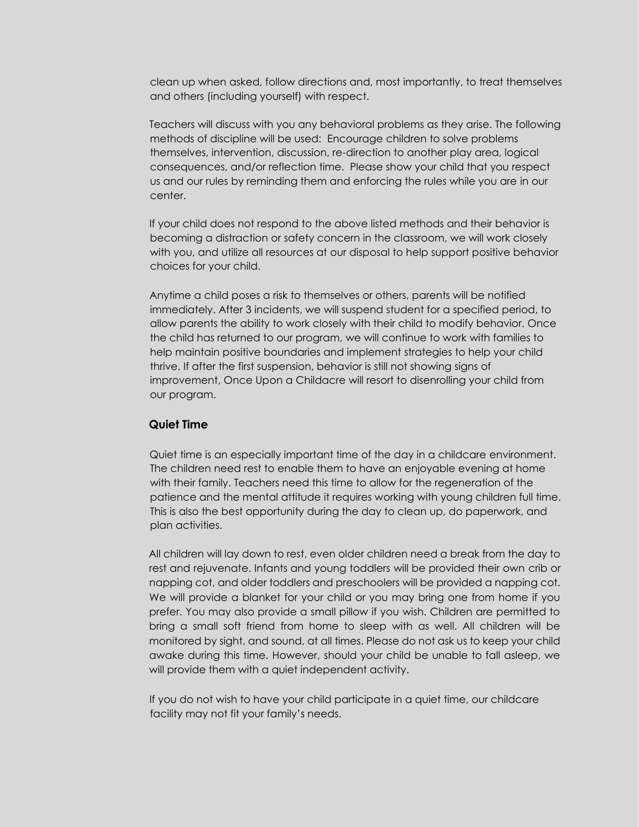clean up when asked, follow directions and, most importantly, to treat themselves and others (including yourself) with respect.

Teachers will discuss with you any behavioral problems as they arise. The following methods of discipline will be used: Encourage children to solve problems themselves, intervention, discussion, re-direction to another play area, logical consequences, and/or reflection time. Please show your child that you respect us and our rules by reminding them and enforcing the rules while you are in our center.

If your child does not respond to the above listed methods and their behavior is becoming a distraction or safety concern in the classroom, we will work closely with you, and utilize all resources at our disposal to help support positive behavior choices for your child.

Anytime a child poses a risk to themselves or others, parents will be notified immediately. After 3 incidents, we will suspend student for a specified period, to allow parents the ability to work closely with their child to modify behavior. Once the child has returned to our program, we will continue to work with families to help maintain positive boundaries and implement strategies to help your child thrive. If after the first suspension, behavior is still not showing signs of improvement, Once Upon a Childacre will resort to disenrolling your child from our program.

#### **Quiet Time**

Quiet time is an especially important time of the day in a childcare environment. The children need rest to enable them to have an enjoyable evening at home with their family. Teachers need this time to allow for the regeneration of the patience and the mental attitude it requires working with young children full time. This is also the best opportunity during the day to clean up, do paperwork, and plan activities.

All children will lay down to rest, even older children need a break from the day to rest and rejuvenate. Infants and young toddlers will be provided their own crib or napping cot, and older toddlers and preschoolers will be provided a napping cot. We will provide a blanket for your child or you may bring one from home if you prefer. You may also provide a small pillow if you wish. Children are permitted to bring a small soft friend from home to sleep with as well. All children will be monitored by sight, and sound, at all times. Please do not ask us to keep your child awake during this time. However, should your child be unable to fall asleep, we will provide them with a quiet independent activity.

If you do not wish to have your child participate in a quiet time, our childcare facility may not fit your family's needs.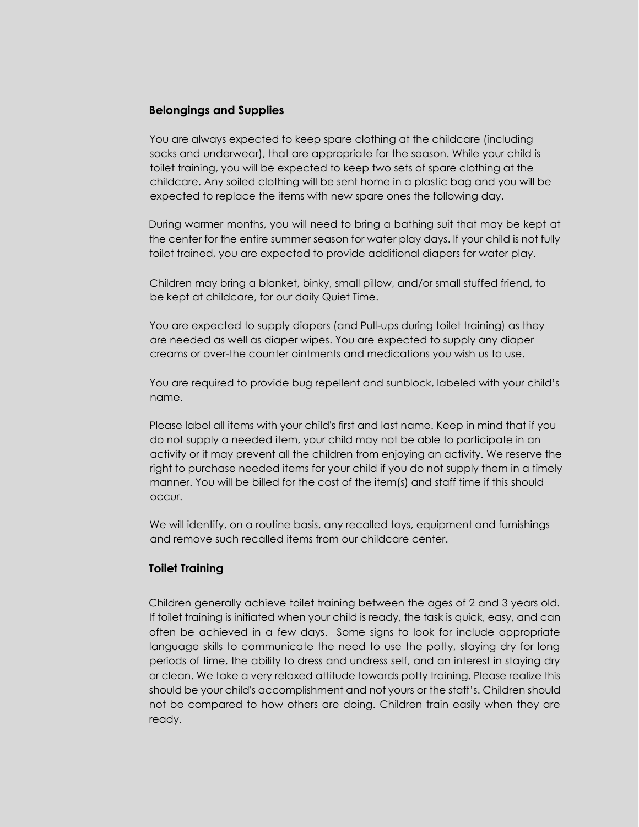### **Belongings and Supplies**

You are always expected to keep spare clothing at the childcare (including socks and underwear), that are appropriate for the season. While your child is toilet training, you will be expected to keep two sets of spare clothing at the childcare. Any soiled clothing will be sent home in a plastic bag and you will be expected to replace the items with new spare ones the following day.

During warmer months, you will need to bring a bathing suit that may be kept at the center for the entire summer season for water play days. If your child is not fully toilet trained, you are expected to provide additional diapers for water play.

Children may bring a blanket, binky, small pillow, and/or small stuffed friend, to be kept at childcare, for our daily Quiet Time.

You are expected to supply diapers (and Pull-ups during toilet training) as they are needed as well as diaper wipes. You are expected to supply any diaper creams or over-the counter ointments and medications you wish us to use.

You are required to provide bug repellent and sunblock, labeled with your child's name.

Please label all items with your child's first and last name. Keep in mind that if you do not supply a needed item, your child may not be able to participate in an activity or it may prevent all the children from enjoying an activity. We reserve the right to purchase needed items for your child if you do not supply them in a timely manner. You will be billed for the cost of the item(s) and staff time if this should occur.

We will identify, on a routine basis, any recalled toys, equipment and furnishings and remove such recalled items from our childcare center.

## **Toilet Training**

Children generally achieve toilet training between the ages of 2 and 3 years old. If toilet training is initiated when your child is ready, the task is quick, easy, and can often be achieved in a few days. Some signs to look for include appropriate language skills to communicate the need to use the potty, staying dry for long periods of time, the ability to dress and undress self, and an interest in staying dry or clean. We take a very relaxed attitude towards potty training. Please realize this should be your child's accomplishment and not yours or the staff's. Children should not be compared to how others are doing. Children train easily when they are ready.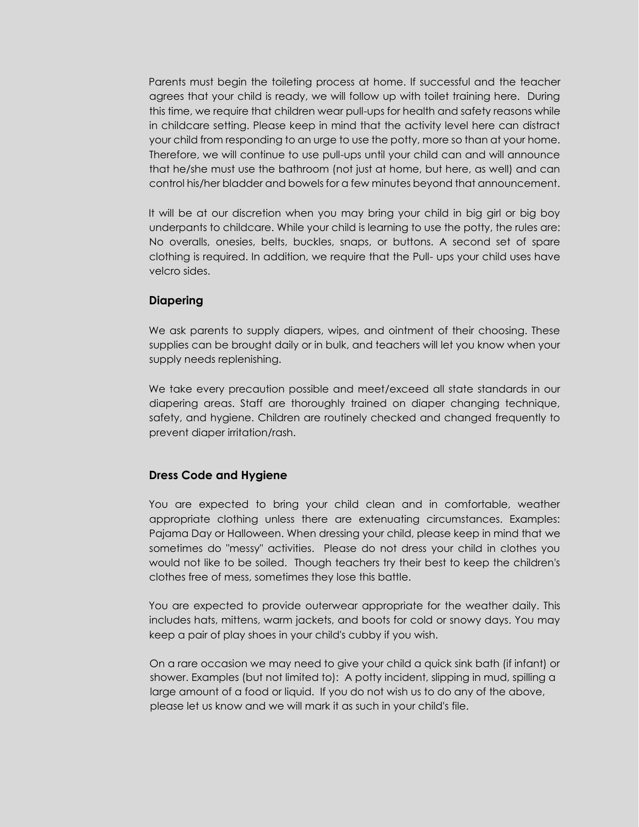Parents must begin the toileting process at home. If successful and the teacher agrees that your child is ready, we will follow up with toilet training here. During this time, we require that children wear pull-ups for health and safety reasons while in childcare setting. Please keep in mind that the activity level here can distract your child from responding to an urge to use the potty, more so than at your home. Therefore, we will continue to use pull-ups until your child can and will announce that he/she must use the bathroom (not just at home, but here, as well) and can control his/her bladder and bowels for a few minutes beyond that announcement.

It will be at our discretion when you may bring your child in big girl or big boy underpants to childcare. While your child is learning to use the potty, the rules are: No overalls, onesies, belts, buckles, snaps, or buttons. A second set of spare clothing is required. In addition, we require that the Pull- ups your child uses have velcro sides.

#### **Diapering**

We ask parents to supply diapers, wipes, and ointment of their choosing. These supplies can be brought daily or in bulk, and teachers will let you know when your supply needs replenishing.

We take every precaution possible and meet/exceed all state standards in our diapering areas. Staff are thoroughly trained on diaper changing technique, safety, and hygiene. Children are routinely checked and changed frequently to prevent diaper irritation/rash.

#### **Dress Code and Hygiene**

You are expected to bring your child clean and in comfortable, weather appropriate clothing unless there are extenuating circumstances. Examples: Pajama Day or Halloween. When dressing your child, please keep in mind that we sometimes do "messy" activities. Please do not dress your child in clothes you would not like to be soiled. Though teachers try their best to keep the children's clothes free of mess, sometimes they lose this battle.

You are expected to provide outerwear appropriate for the weather daily. This includes hats, mittens, warm jackets, and boots for cold or snowy days. You may keep a pair of play shoes in your child's cubby if you wish.

On a rare occasion we may need to give your child a quick sink bath (if infant) or shower. Examples (but not limited to): A potty incident, slipping in mud, spilling a large amount of a food or liquid. If you do not wish us to do any of the above, please let us know and we will mark it as such in your child's file.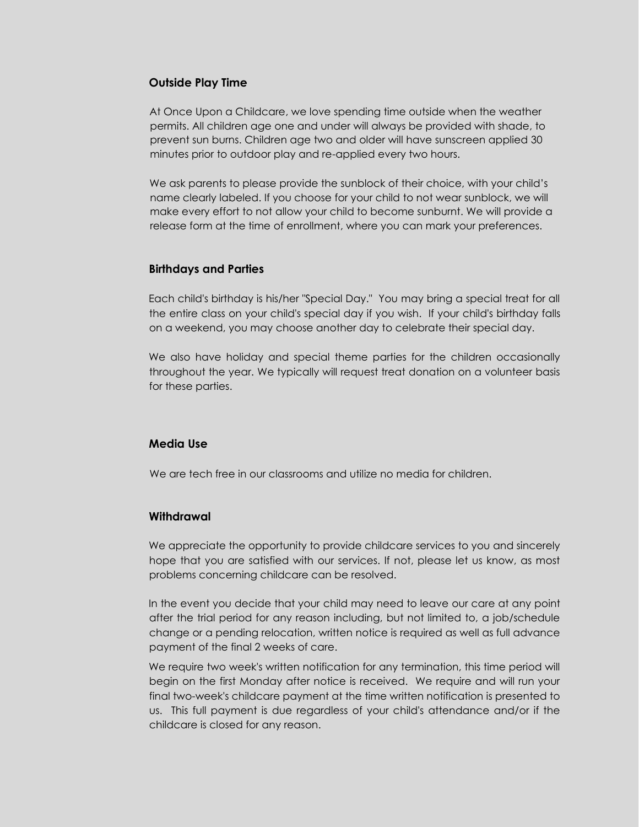#### **Outside Play Time**

At Once Upon a Childcare, we love spending time outside when the weather permits. All children age one and under will always be provided with shade, to prevent sun burns. Children age two and older will have sunscreen applied 30 minutes prior to outdoor play and re-applied every two hours.

We ask parents to please provide the sunblock of their choice, with your child's name clearly labeled. If you choose for your child to not wear sunblock, we will make every effort to not allow your child to become sunburnt. We will provide a release form at the time of enrollment, where you can mark your preferences.

#### **Birthdays and Parties**

Each child's birthday is his/her "Special Day." You may bring a special treat for all the entire class on your child's special day if you wish. If your child's birthday falls on a weekend, you may choose another day to celebrate their special day.

We also have holiday and special theme parties for the children occasionally throughout the year. We typically will request treat donation on a volunteer basis for these parties.

## **Media Use**

We are tech free in our classrooms and utilize no media for children.

## **Withdrawal**

We appreciate the opportunity to provide childcare services to you and sincerely hope that you are satisfied with our services. If not, please let us know, as most problems concerning childcare can be resolved.

In the event you decide that your child may need to leave our care at any point after the trial period for any reason including, but not limited to, a job/schedule change or a pending relocation, written notice is required as well as full advance payment of the final 2 weeks of care.

We require two week's written notification for any termination, this time period will begin on the first Monday after notice is received. We require and will run your final two-week's childcare payment at the time written notification is presented to us. This full payment is due regardless of your child's attendance and/or if the childcare is closed for any reason.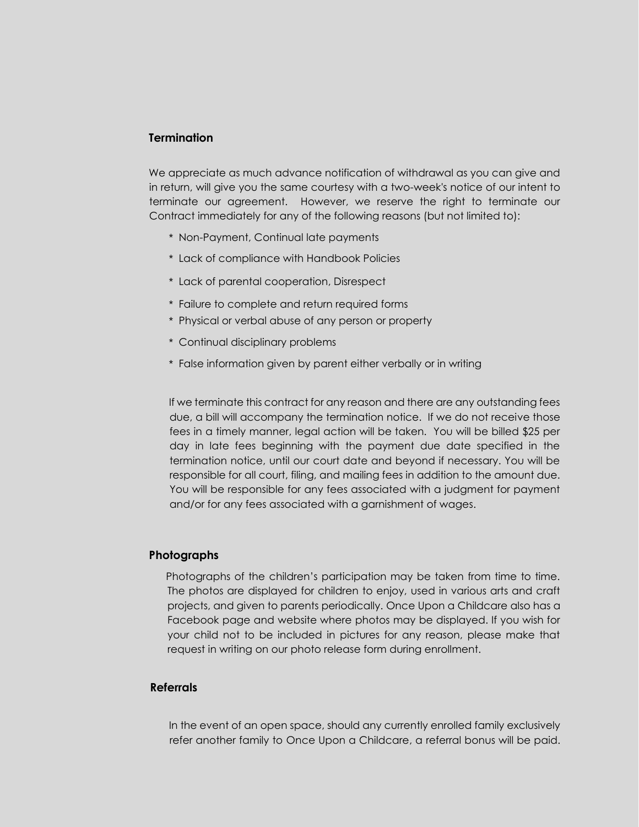## **Termination**

We appreciate as much advance notification of withdrawal as you can give and in return, will give you the same courtesy with a two-week's notice of our intent to terminate our agreement. However, we reserve the right to terminate our Contract immediately for any of the following reasons (but not limited to):

- \* Non-Payment, Continual late payments
- \* Lack of compliance with Handbook Policies
- \* Lack of parental cooperation, Disrespect
- \* Failure to complete and return required forms
- \* Physical or verbal abuse of any person or property
- \* Continual disciplinary problems
- \* False information given by parent either verbally or in writing

If we terminate this contract for any reason and there are any outstanding fees due, a bill will accompany the termination notice. If we do not receive those fees in a timely manner, legal action will be taken. You will be billed \$25 per day in late fees beginning with the payment due date specified in the termination notice, until our court date and beyond if necessary. You will be responsible for all court, filing, and mailing fees in addition to the amount due. You will be responsible for any fees associated with a judgment for payment and/or for any fees associated with a garnishment of wages.

#### **Photographs**

Photographs of the children's participation may be taken from time to time. The photos are displayed for children to enjoy, used in various arts and craft projects, and given to parents periodically. Once Upon a Childcare also has a Facebook page and website where photos may be displayed. If you wish for your child not to be included in pictures for any reason, please make that request in writing on our photo release form during enrollment.

#### **Referrals**

In the event of an open space, should any currently enrolled family exclusively refer another family to Once Upon a Childcare, a referral bonus will be paid.